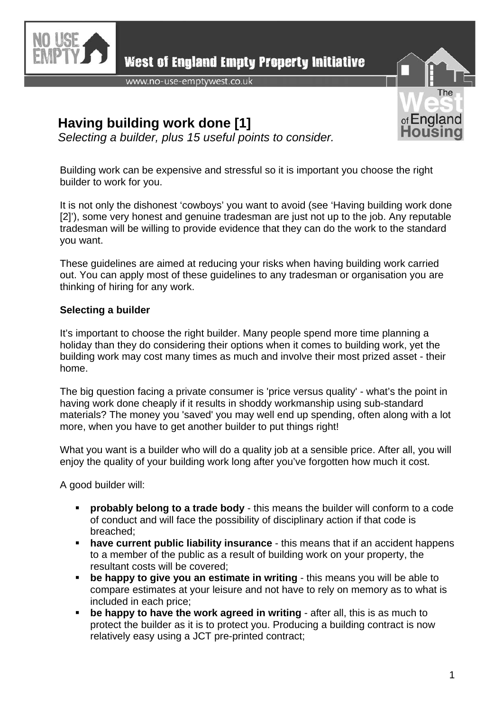

**West of England Empty Property Initiative** 

www.no-use-emptywest.co.uk

## **Having building work done [1]**

*Selecting a builder, plus 15 useful points to consider.* 



Building work can be expensive and stressful so it is important you choose the right builder to work for you.

It is not only the dishonest 'cowboys' you want to avoid (see 'Having building work done [2]'), some very honest and genuine tradesman are just not up to the job. Any reputable tradesman will be willing to provide evidence that they can do the work to the standard you want.

These guidelines are aimed at reducing your risks when having building work carried out. You can apply most of these guidelines to any tradesman or organisation you are thinking of hiring for any work.

## **Selecting a builder**

It's important to choose the right builder. Many people spend more time planning a holiday than they do considering their options when it comes to building work, yet the building work may cost many times as much and involve their most prized asset - their home.

The big question facing a private consumer is 'price versus quality' - what's the point in having work done cheaply if it results in shoddy workmanship using sub-standard materials? The money you 'saved' you may well end up spending, often along with a lot more, when you have to get another builder to put things right!

What you want is a builder who will do a quality job at a sensible price. After all, you will enjoy the quality of your building work long after you've forgotten how much it cost.

A good builder will:

- **probably belong to a trade body** this means the builder will conform to a code of conduct and will face the possibility of disciplinary action if that code is breached;
- **have current public liability insurance** this means that if an accident happens to a member of the public as a result of building work on your property, the resultant costs will be covered;
- **be happy to give you an estimate in writing** this means you will be able to compare estimates at your leisure and not have to rely on memory as to what is included in each price;
- **be happy to have the work agreed in writing** after all, this is as much to protect the builder as it is to protect you. Producing a building contract is now relatively easy using a JCT pre-printed contract;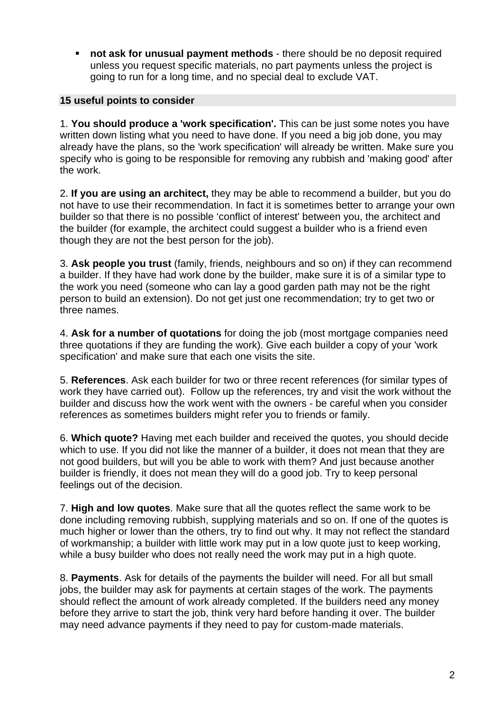**not ask for unusual payment methods** - there should be no deposit required unless you request specific materials, no part payments unless the project is going to run for a long time, and no special deal to exclude VAT.

## **15 useful points to consider**

1. **You should produce a 'work specification'.** This can be just some notes you have written down listing what you need to have done. If you need a big job done, you may already have the plans, so the 'work specification' will already be written. Make sure you specify who is going to be responsible for removing any rubbish and 'making good' after the work.

2. **If you are using an architect,** they may be able to recommend a builder, but you do not have to use their recommendation. In fact it is sometimes better to arrange your own builder so that there is no possible 'conflict of interest' between you, the architect and the builder (for example, the architect could suggest a builder who is a friend even though they are not the best person for the job).

3. **Ask people you trust** (family, friends, neighbours and so on) if they can recommend a builder. If they have had work done by the builder, make sure it is of a similar type to the work you need (someone who can lay a good garden path may not be the right person to build an extension). Do not get just one recommendation; try to get two or three names.

4. **Ask for a number of quotations** for doing the job (most mortgage companies need three quotations if they are funding the work). Give each builder a copy of your 'work specification' and make sure that each one visits the site.

5. **References**. Ask each builder for two or three recent references (for similar types of work they have carried out). Follow up the references, try and visit the work without the builder and discuss how the work went with the owners - be careful when you consider references as sometimes builders might refer you to friends or family.

6. **Which quote?** Having met each builder and received the quotes, you should decide which to use. If you did not like the manner of a builder, it does not mean that they are not good builders, but will you be able to work with them? And just because another builder is friendly, it does not mean they will do a good job. Try to keep personal feelings out of the decision.

7. **High and low quotes**. Make sure that all the quotes reflect the same work to be done including removing rubbish, supplying materials and so on. If one of the quotes is much higher or lower than the others, try to find out why. It may not reflect the standard of workmanship; a builder with little work may put in a low quote just to keep working, while a busy builder who does not really need the work may put in a high quote.

8. **Payments**. Ask for details of the payments the builder will need. For all but small jobs, the builder may ask for payments at certain stages of the work. The payments should reflect the amount of work already completed. If the builders need any money before they arrive to start the job, think very hard before handing it over. The builder may need advance payments if they need to pay for custom-made materials.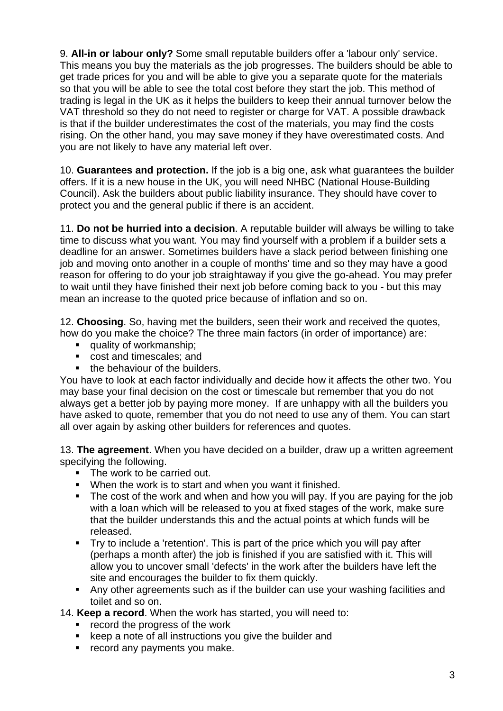9. **All-in or labour only?** Some small reputable builders offer a 'labour only' service. This means you buy the materials as the job progresses. The builders should be able to get trade prices for you and will be able to give you a separate quote for the materials so that you will be able to see the total cost before they start the job. This method of trading is legal in the UK as it helps the builders to keep their annual turnover below the VAT threshold so they do not need to register or charge for VAT. A possible drawback is that if the builder underestimates the cost of the materials, you may find the costs rising. On the other hand, you may save money if they have overestimated costs. And you are not likely to have any material left over.

10. **Guarantees and protection.** If the job is a big one, ask what guarantees the builder offers. If it is a new house in the UK, you will need NHBC (National House-Building Council). Ask the builders about public liability insurance. They should have cover to protect you and the general public if there is an accident.

11. **Do not be hurried into a decision**. A reputable builder will always be willing to take time to discuss what you want. You may find yourself with a problem if a builder sets a deadline for an answer. Sometimes builders have a slack period between finishing one job and moving onto another in a couple of months' time and so they may have a good reason for offering to do your job straightaway if you give the go-ahead. You may prefer to wait until they have finished their next job before coming back to you - but this may mean an increase to the quoted price because of inflation and so on.

12. **Choosing**. So, having met the builders, seen their work and received the quotes, how do you make the choice? The three main factors (in order of importance) are:

- quality of workmanship;
- cost and timescales; and
- the behaviour of the builders.

You have to look at each factor individually and decide how it affects the other two. You may base your final decision on the cost or timescale but remember that you do not always get a better job by paying more money. If are unhappy with all the builders you have asked to quote, remember that you do not need to use any of them. You can start all over again by asking other builders for references and quotes.

13. **The agreement**. When you have decided on a builder, draw up a written agreement specifying the following.

- The work to be carried out.
- **When the work is to start and when you want it finished.**
- The cost of the work and when and how you will pay. If you are paying for the job with a loan which will be released to you at fixed stages of the work, make sure that the builder understands this and the actual points at which funds will be released.
- Try to include a 'retention'. This is part of the price which you will pay after (perhaps a month after) the job is finished if you are satisfied with it. This will allow you to uncover small 'defects' in the work after the builders have left the site and encourages the builder to fix them quickly.
- Any other agreements such as if the builder can use your washing facilities and toilet and so on.

14. **Keep a record**. When the work has started, you will need to:

- **F** record the progress of the work
- **EXECT** keep a note of all instructions you give the builder and
- **•** record any payments you make.